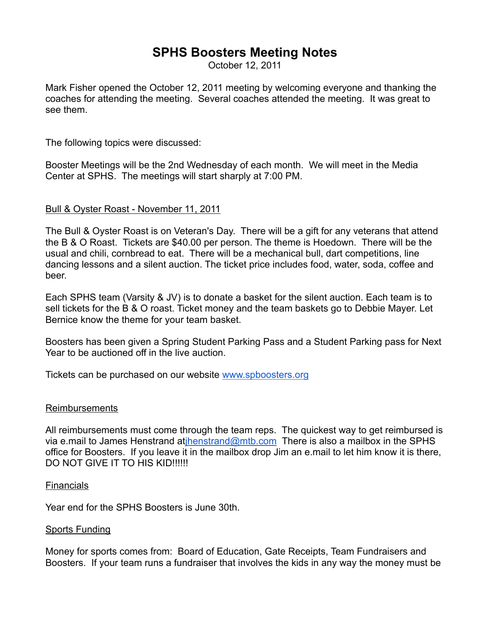# **SPHS Boosters Meeting Notes**

October 12, 2011

Mark Fisher opened the October 12, 2011 meeting by welcoming everyone and thanking the coaches for attending the meeting. Several coaches attended the meeting. It was great to see them.

The following topics were discussed:

Booster Meetings will be the 2nd Wednesday of each month. We will meet in the Media Center at SPHS. The meetings will start sharply at 7:00 PM.

# Bull & Oyster Roast - November 11, 2011

The Bull & Oyster Roast is on Veteran's Day. There will be a gift for any veterans that attend the B & O Roast. Tickets are \$40.00 per person. The theme is Hoedown. There will be the usual and chili, cornbread to eat. There will be a mechanical bull, dart competitions, line dancing lessons and a silent auction. The ticket price includes food, water, soda, coffee and beer.

Each SPHS team (Varsity & JV) is to donate a basket for the silent auction. Each team is to sell tickets for the B & O roast. Ticket money and the team baskets go to Debbie Mayer. Let Bernice know the theme for your team basket.

Boosters has been given a Spring Student Parking Pass and a Student Parking pass for Next Year to be auctioned off in the live auction.

Tickets can be purchased on our website www.spboosters.org

#### Reimbursements

All reimbursements must come through the team reps. The quickest way to get reimbursed is via e.mail to James Henstrand atihenstrand@mtb.com There is also a mailbox in the SPHS office for Boosters. If you leave it in the mailbox drop Jim an e.mail to let him know it is there, DO NOT GIVE IT TO HIS KID!!!!!!

#### **Financials**

Year end for the SPHS Boosters is June 30th.

#### Sports Funding

Money for sports comes from: Board of Education, Gate Receipts, Team Fundraisers and Boosters. If your team runs a fundraiser that involves the kids in any way the money must be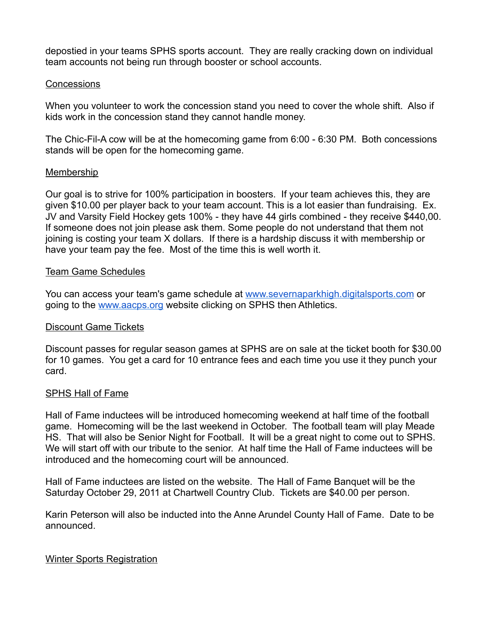depostied in your teams SPHS sports account. They are really cracking down on individual team accounts not being run through booster or school accounts.

## Concessions

When you volunteer to work the concession stand you need to cover the whole shift. Also if kids work in the concession stand they cannot handle money.

The Chic-Fil-A cow will be at the homecoming game from 6:00 - 6:30 PM. Both concessions stands will be open for the homecoming game.

## Membership

Our goal is to strive for 100% participation in boosters. If your team achieves this, they are given \$10.00 per player back to your team account. This is a lot easier than fundraising. Ex. JV and Varsity Field Hockey gets 100% - they have 44 girls combined - they receive \$440,00. If someone does not join please ask them. Some people do not understand that them not joining is costing your team X dollars. If there is a hardship discuss it with membership or have your team pay the fee. Most of the time this is well worth it.

## Team Game Schedules

You can access your team's game schedule at www.severnaparkhigh.digitalsports.com or going to the www.aacps.org website clicking on SPHS then Athletics.

# Discount Game Tickets

Discount passes for regular season games at SPHS are on sale at the ticket booth for \$30.00 for 10 games. You get a card for 10 entrance fees and each time you use it they punch your card.

# SPHS Hall of Fame

Hall of Fame inductees will be introduced homecoming weekend at half time of the football game. Homecoming will be the last weekend in October. The football team will play Meade HS. That will also be Senior Night for Football. It will be a great night to come out to SPHS. We will start off with our tribute to the senior. At half time the Hall of Fame inductees will be introduced and the homecoming court will be announced.

Hall of Fame inductees are listed on the website. The Hall of Fame Banquet will be the Saturday October 29, 2011 at Chartwell Country Club. Tickets are \$40.00 per person.

Karin Peterson will also be inducted into the Anne Arundel County Hall of Fame. Date to be announced.

# Winter Sports Registration